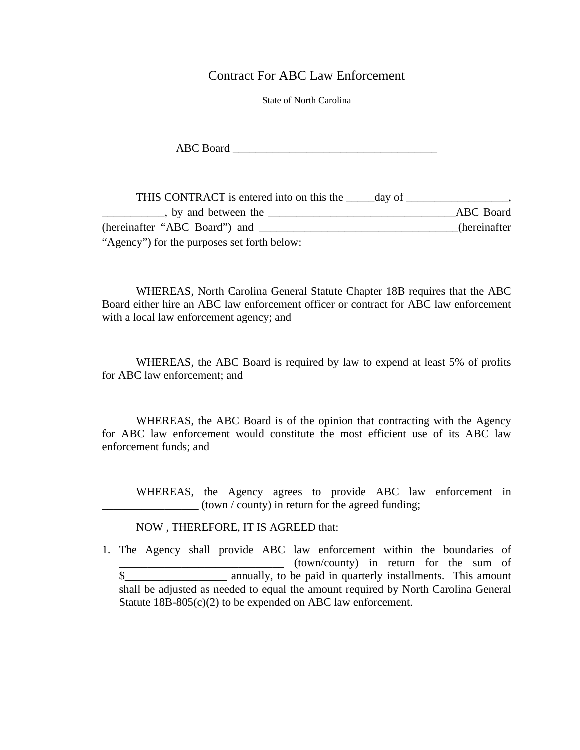Contract For ABC Law Enforcement

State of North Carolina

ABC Board \_\_\_\_\_\_\_\_\_\_\_\_\_\_\_\_\_\_\_\_\_\_\_\_\_\_\_\_\_\_\_\_\_\_\_\_

THIS CONTRACT is entered into on this the \_\_\_\_\_day of \_\_\_\_\_\_\_\_\_\_\_\_\_\_\_\_\_\_\_\_\_\_\_\_\_\_\_ Lacktriangle between the <u>Lacktrian and the set of the set of the set of the set of the set of the set of the set of the set of the set of the set of the set of the set of the set of the set of the set of the set of the se</u> (hereinafter "ABC Board") and \_\_\_\_\_\_\_\_\_\_\_\_\_\_\_\_\_\_\_\_\_\_\_\_\_\_\_\_\_\_\_\_\_\_\_(hereinafter "Agency") for the purposes set forth below:

WHEREAS, North Carolina General Statute Chapter 18B requires that the ABC Board either hire an ABC law enforcement officer or contract for ABC law enforcement with a local law enforcement agency; and

WHEREAS, the ABC Board is required by law to expend at least 5% of profits for ABC law enforcement; and

WHEREAS, the ABC Board is of the opinion that contracting with the Agency for ABC law enforcement would constitute the most efficient use of its ABC law enforcement funds; and

WHEREAS, the Agency agrees to provide ABC law enforcement in  $($ town  $/$  county) in return for the agreed funding;

## NOW , THEREFORE, IT IS AGREED that:

1. The Agency shall provide ABC law enforcement within the boundaries of  $(town/county)$  in return for the sum of \$\_\_\_\_\_\_\_\_\_\_\_\_\_\_\_\_\_\_ annually, to be paid in quarterly installments. This amount shall be adjusted as needed to equal the amount required by North Carolina General Statute 18B-805(c)(2) to be expended on ABC law enforcement.